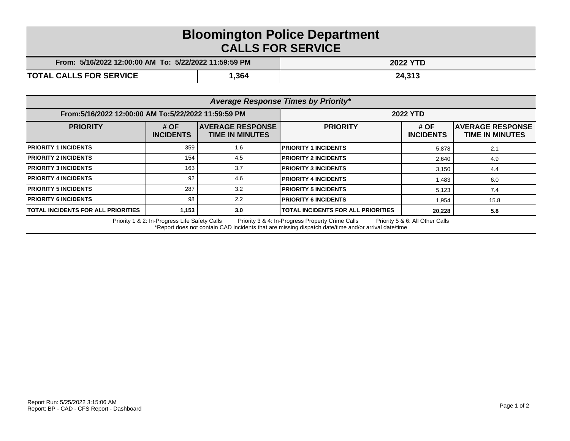## **Bloomington Police Department CALLS FOR SERVICE**

| :5/16/2022 12:00:00 AM_To:_5/22/2022 11:59:59 PM_<br>From: |      | 2022 YTD |
|------------------------------------------------------------|------|----------|
| <b>TOTAL CALLS FOR SERVICE</b>                             | ,364 | 24,313   |

| Average Response Times by Priority*                                                                                                                                                                                                         |                          |                                                    |                                           |                          |                                                   |  |  |
|---------------------------------------------------------------------------------------------------------------------------------------------------------------------------------------------------------------------------------------------|--------------------------|----------------------------------------------------|-------------------------------------------|--------------------------|---------------------------------------------------|--|--|
| From:5/16/2022 12:00:00 AM To:5/22/2022 11:59:59 PM                                                                                                                                                                                         |                          | <b>2022 YTD</b>                                    |                                           |                          |                                                   |  |  |
| <b>PRIORITY</b>                                                                                                                                                                                                                             | # OF<br><b>INCIDENTS</b> | <b>IAVERAGE RESPONSE</b><br><b>TIME IN MINUTES</b> | <b>PRIORITY</b>                           | # OF<br><b>INCIDENTS</b> | <b>AVERAGE RESPONSE</b><br><b>TIME IN MINUTES</b> |  |  |
| <b>PRIORITY 1 INCIDENTS</b>                                                                                                                                                                                                                 | 359                      | 1.6                                                | <b>PRIORITY 1 INCIDENTS</b>               | 5,878                    | 2.1                                               |  |  |
| <b>PRIORITY 2 INCIDENTS</b>                                                                                                                                                                                                                 | 154                      | 4.5                                                | <b>PRIORITY 2 INCIDENTS</b>               | 2,640                    | 4.9                                               |  |  |
| <b>PRIORITY 3 INCIDENTS</b>                                                                                                                                                                                                                 | 163                      | 3.7                                                | <b>PRIORITY 3 INCIDENTS</b>               | 3,150                    | 4.4                                               |  |  |
| <b>PRIORITY 4 INCIDENTS</b>                                                                                                                                                                                                                 | 92                       | 4.6                                                | <b>PRIORITY 4 INCIDENTS</b>               | 1,483                    | 6.0                                               |  |  |
| <b>PRIORITY 5 INCIDENTS</b>                                                                                                                                                                                                                 | 287                      | 3.2                                                | <b>PRIORITY 5 INCIDENTS</b>               | 5,123                    | 7.4                                               |  |  |
| <b>PRIORITY 6 INCIDENTS</b>                                                                                                                                                                                                                 | 98                       | 2.2                                                | <b>PRIORITY 6 INCIDENTS</b>               | 1,954                    | 15.8                                              |  |  |
| <b>TOTAL INCIDENTS FOR ALL PRIORITIES</b>                                                                                                                                                                                                   | 1,153                    | 3.0                                                | <b>TOTAL INCIDENTS FOR ALL PRIORITIES</b> | 20,228                   | 5.8                                               |  |  |
| Priority 1 & 2: In-Progress Life Safety Calls<br>Priority 3 & 4: In-Progress Property Crime Calls<br>Priority 5 & 6: All Other Calls<br>*Report does not contain CAD incidents that are missing dispatch date/time and/or arrival date/time |                          |                                                    |                                           |                          |                                                   |  |  |